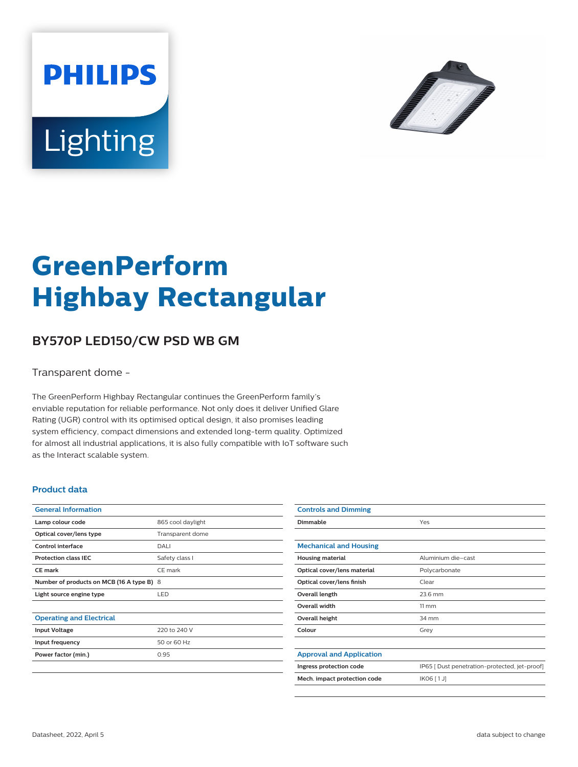



# **GreenPerform Highbay Rectangular**

## **BY570P LED150/CW PSD WB GM**

Transparent dome -

The GreenPerform Highbay Rectangular continues the GreenPerform family's enviable reputation for reliable performance. Not only does it deliver Unified Glare Rating (UGR) control with its optimised optical design, it also promises leading system efficiency, compact dimensions and extended long-term quality. Optimized for almost all industrial applications, it is also fully compatible with IoT software such as the Interact scalable system.

#### **Product data**

| <b>General Information</b>                |                   |
|-------------------------------------------|-------------------|
| Lamp colour code                          | 865 cool daylight |
| Optical cover/lens type                   | Transparent dome  |
| Control interface                         | DALI              |
| <b>Protection class IEC</b>               | Safety class I    |
| CF mark                                   | CE mark           |
| Number of products on MCB (16 A type B) 8 |                   |
| Light source engine type                  | LED.              |
|                                           |                   |
| <b>Operating and Electrical</b>           |                   |
| <b>Input Voltage</b>                      | 220 to 240 V      |
| Input frequency                           | 50 or 60 Hz       |
| Power factor (min.)                       | 0.95              |
|                                           |                   |

| <b>Controls and Dimming</b>     |                                               |
|---------------------------------|-----------------------------------------------|
| Dimmable                        | Yes                                           |
|                                 |                                               |
| <b>Mechanical and Housing</b>   |                                               |
| <b>Housing material</b>         | Aluminium die-cast                            |
| Optical cover/lens material     | Polycarbonate                                 |
| Optical cover/lens finish       | Clear                                         |
| Overall length                  | 23.6 mm                                       |
| Overall width                   | $11 \, \mathrm{mm}$                           |
| Overall height                  | 34 mm                                         |
| Colour                          | Grey                                          |
|                                 |                                               |
| <b>Approval and Application</b> |                                               |
| Ingress protection code         | IP65 [ Dust penetration-protected, jet-proof] |
| Mech. impact protection code    | IK06 [1J]                                     |
|                                 |                                               |